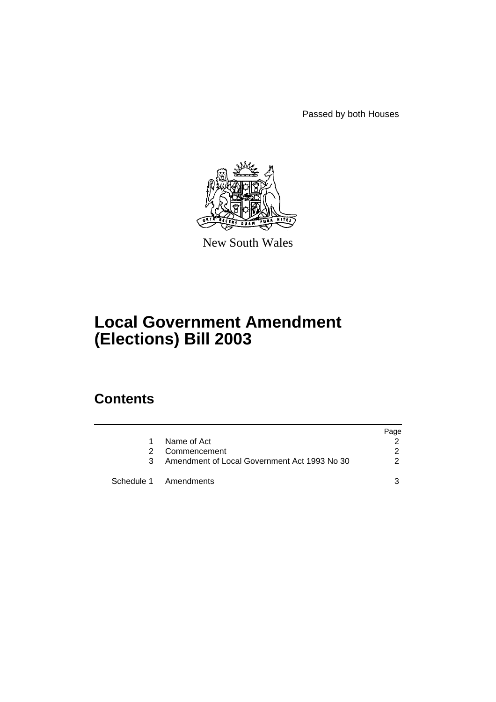Passed by both Houses



New South Wales

# **Local Government Amendment (Elections) Bill 2003**

## **Contents**

|               |                                              | Page |
|---------------|----------------------------------------------|------|
| 1.            | Name of Act                                  |      |
| $\mathcal{P}$ | Commencement                                 | 2    |
| 3             | Amendment of Local Government Act 1993 No 30 | 2    |
|               | Schedule 1 Amendments                        | 3    |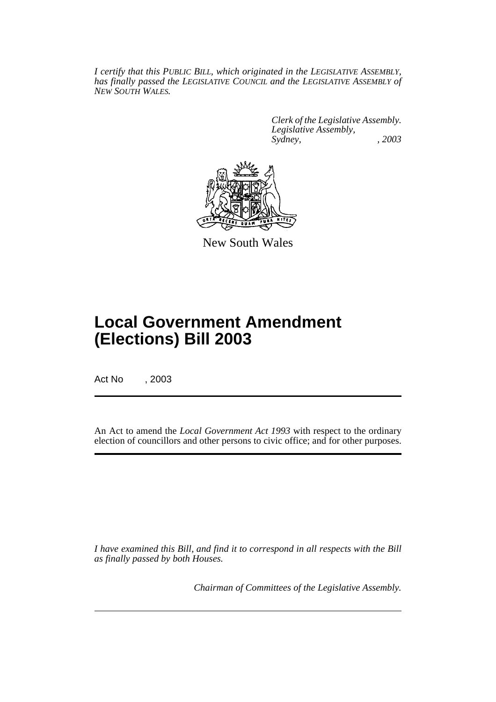*I certify that this PUBLIC BILL, which originated in the LEGISLATIVE ASSEMBLY, has finally passed the LEGISLATIVE COUNCIL and the LEGISLATIVE ASSEMBLY of NEW SOUTH WALES.*

> *Clerk of the Legislative Assembly. Legislative Assembly, Sydney, , 2003*



New South Wales

# **Local Government Amendment (Elections) Bill 2003**

Act No , 2003

An Act to amend the *Local Government Act 1993* with respect to the ordinary election of councillors and other persons to civic office; and for other purposes.

*I have examined this Bill, and find it to correspond in all respects with the Bill as finally passed by both Houses.*

*Chairman of Committees of the Legislative Assembly.*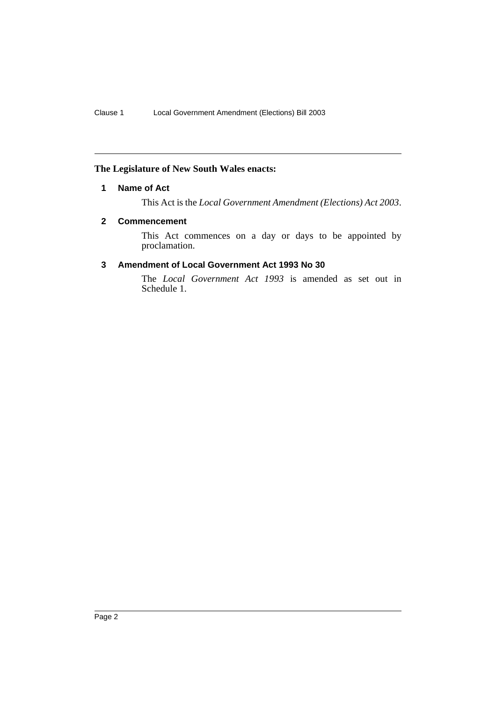## <span id="page-2-0"></span>**The Legislature of New South Wales enacts:**

### **1 Name of Act**

This Act is the *Local Government Amendment (Elections) Act 2003*.

#### <span id="page-2-1"></span>**2 Commencement**

This Act commences on a day or days to be appointed by proclamation.

## <span id="page-2-2"></span>**3 Amendment of Local Government Act 1993 No 30**

The *Local Government Act 1993* is amended as set out in Schedule 1.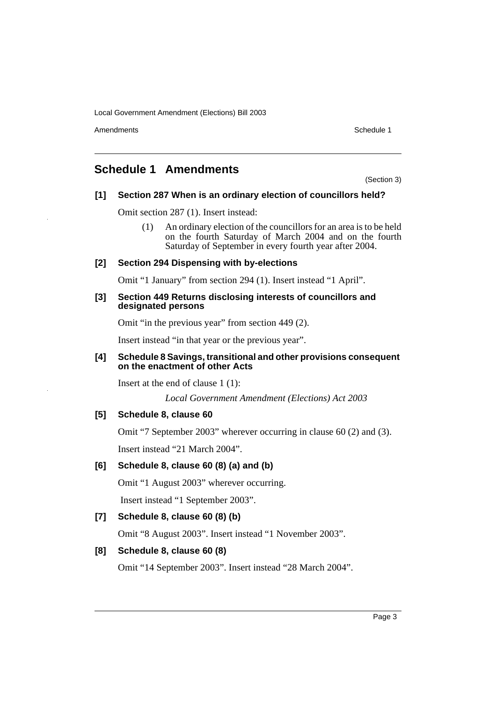Amendments **Amendments** Schedule 1

## <span id="page-3-0"></span>**Schedule 1 Amendments**

(Section 3)

## **[1] Section 287 When is an ordinary election of councillors held?**

Omit section 287 (1). Insert instead:

(1) An ordinary election of the councillors for an area is to be held on the fourth Saturday of March 2004 and on the fourth Saturday of September in every fourth year after 2004.

## **[2] Section 294 Dispensing with by-elections**

Omit "1 January" from section 294 (1). Insert instead "1 April".

#### **[3] Section 449 Returns disclosing interests of councillors and designated persons**

Omit "in the previous year" from section 449 (2).

Insert instead "in that year or the previous year".

#### **[4] Schedule 8 Savings, transitional and other provisions consequent on the enactment of other Acts**

Insert at the end of clause 1 (1):

*Local Government Amendment (Elections) Act 2003*

#### **[5] Schedule 8, clause 60**

Omit "7 September 2003" wherever occurring in clause 60 (2) and (3). Insert instead "21 March 2004".

## **[6] Schedule 8, clause 60 (8) (a) and (b)**

Omit "1 August 2003" wherever occurring.

Insert instead "1 September 2003".

## **[7] Schedule 8, clause 60 (8) (b)**

Omit "8 August 2003". Insert instead "1 November 2003".

## **[8] Schedule 8, clause 60 (8)**

Omit "14 September 2003". Insert instead "28 March 2004".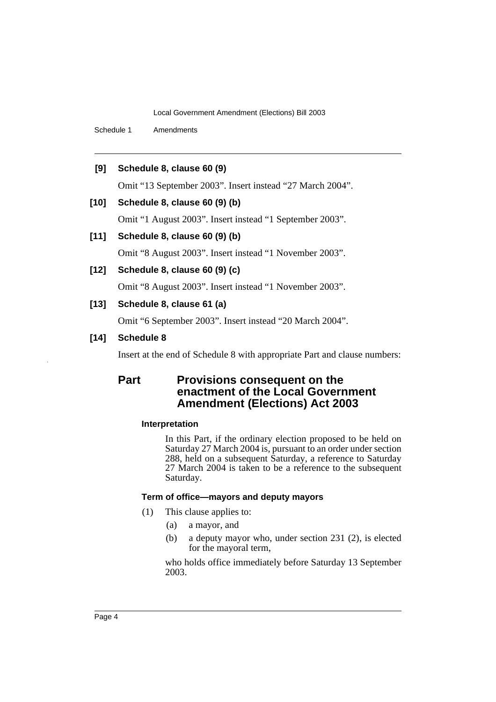Schedule 1 Amendments

#### **[9] Schedule 8, clause 60 (9)**

Omit "13 September 2003". Insert instead "27 March 2004".

#### **[10] Schedule 8, clause 60 (9) (b)**

Omit "1 August 2003". Insert instead "1 September 2003".

#### **[11] Schedule 8, clause 60 (9) (b)**

Omit "8 August 2003". Insert instead "1 November 2003".

## **[12] Schedule 8, clause 60 (9) (c)**

Omit "8 August 2003". Insert instead "1 November 2003".

## **[13] Schedule 8, clause 61 (a)**

Omit "6 September 2003". Insert instead "20 March 2004".

### **[14] Schedule 8**

Insert at the end of Schedule 8 with appropriate Part and clause numbers:

## **Part Provisions consequent on the enactment of the Local Government Amendment (Elections) Act 2003**

#### **Interpretation**

In this Part, if the ordinary election proposed to be held on Saturday 27 March 2004 is, pursuant to an order under section 288, held on a subsequent Saturday, a reference to Saturday 27 March 2004 is taken to be a reference to the subsequent Saturday.

## **Term of office—mayors and deputy mayors**

- (1) This clause applies to:
	- (a) a mayor, and
	- (b) a deputy mayor who, under section 231 (2), is elected for the mayoral term,

who holds office immediately before Saturday 13 September 2003.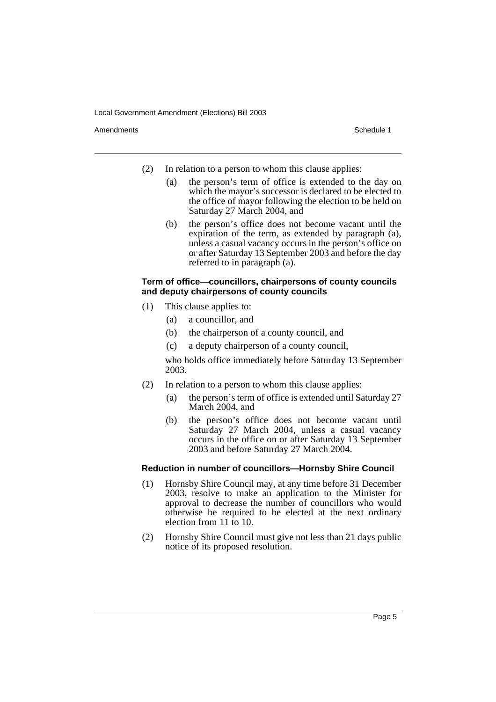Amendments **Amendments** Schedule 1

- (2) In relation to a person to whom this clause applies:
	- (a) the person's term of office is extended to the day on which the mayor's successor is declared to be elected to the office of mayor following the election to be held on Saturday 27 March 2004, and
	- (b) the person's office does not become vacant until the expiration of the term, as extended by paragraph (a), unless a casual vacancy occurs in the person's office on or after Saturday 13 September 2003 and before the day referred to in paragraph (a).

### **Term of office—councillors, chairpersons of county councils and deputy chairpersons of county councils**

- (1) This clause applies to:
	- (a) a councillor, and
	- (b) the chairperson of a county council, and
	- (c) a deputy chairperson of a county council,

who holds office immediately before Saturday 13 September 2003.

- (2) In relation to a person to whom this clause applies:
	- (a) the person's term of office is extended until Saturday 27 March 2004, and
	- (b) the person's office does not become vacant until Saturday 27 March 2004, unless a casual vacancy occurs in the office on or after Saturday 13 September 2003 and before Saturday 27 March 2004.

#### **Reduction in number of councillors—Hornsby Shire Council**

- (1) Hornsby Shire Council may, at any time before 31 December 2003, resolve to make an application to the Minister for approval to decrease the number of councillors who would otherwise be required to be elected at the next ordinary election from 11 to 10.
- (2) Hornsby Shire Council must give not less than 21 days public notice of its proposed resolution.